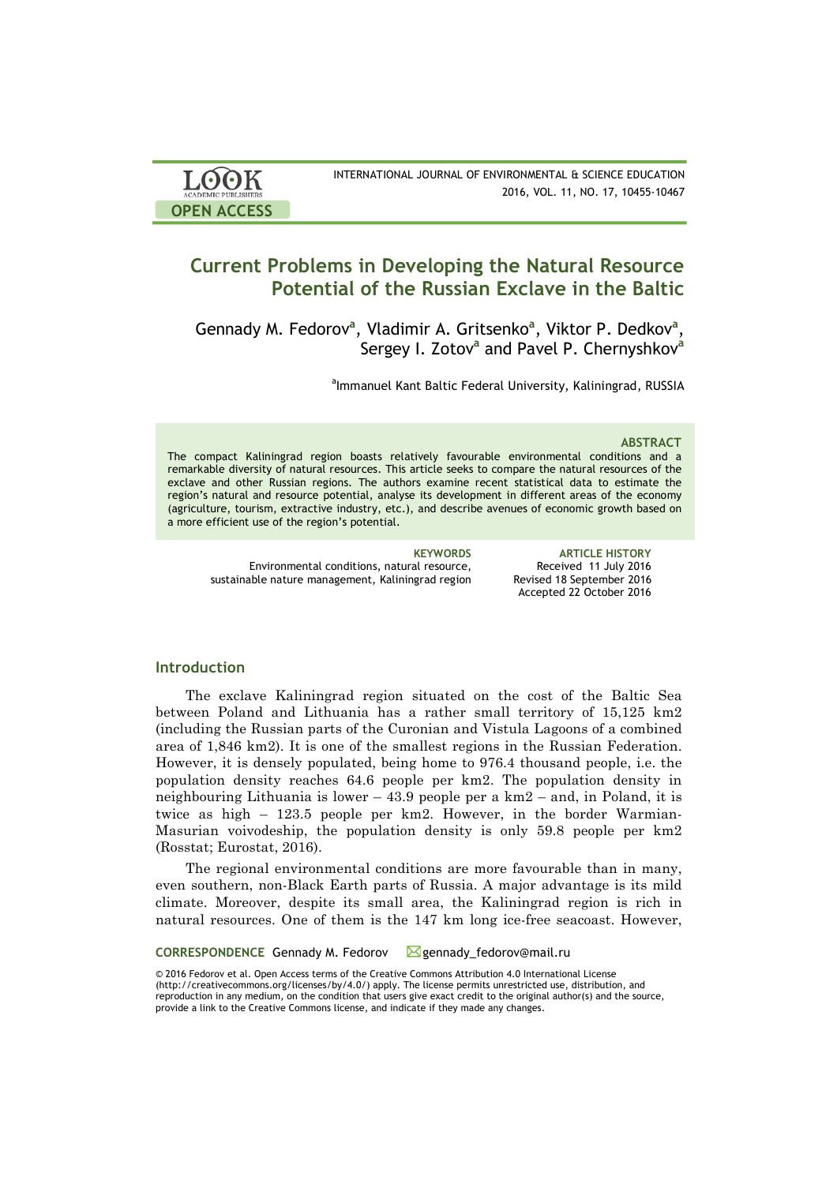| <b>LOOK</b>                | INTERNATIONAL JOURNAL OF ENVIRONMENTAL & SCIENCE EDUCATION |
|----------------------------|------------------------------------------------------------|
| <b>ACADEMIC PUBLISHERS</b> | 2016, VOL. 11, NO. 17, 10455-10467                         |
| <b>OPEN ACCESS</b>         |                                                            |

# **Current Problems in Developing the Natural Resource Potential of the Russian Exclave in the Baltic**

Gennady M. Fedorov<sup>a</sup>, Vladimir A. Gritsenko<sup>a</sup>, Viktor P. Dedkov<sup>a</sup>, Sergey I. Zotov**<sup>a</sup>** and Pavel P. Chernyshkov**<sup>a</sup>**

<sup>a</sup>lmmanuel Kant Baltic Federal University, Kaliningrad, RUSSIA

### **ABSTRACT**

The compact Kaliningrad region boasts relatively favourable environmental conditions and a remarkable diversity of natural resources. This article seeks to compare the natural resources of the exclave and other Russian regions. The authors examine recent statistical data to estimate the region's natural and resource potential, analyse its development in different areas of the economy (agriculture, tourism, extractive industry, etc.), and describe avenues of economic growth based on a more efficient use of the region's potential.

Environmental conditions, natural resource, sustainable nature management, Kaliningrad region

**KEYWORDS ARTICLE HISTORY** Received 11 July 2016 Revised 18 September 2016 Accepted 22 October 2016

# **Introduction**

The exclave Kaliningrad region situated on the cost of the Baltic Sea between Poland and Lithuania has a rather small territory of 15,125 km2 (including the Russian parts of the Curonian and Vistula Lagoons of a combined area of 1,846 km2). It is one of the smallest regions in the Russian Federation. However, it is densely populated, being home to 976.4 thousand people, i.e. the population density reaches 64.6 people per km2. The population density in neighbouring Lithuania is lower – 43.9 people per a km2 – and, in Poland, it is twice as high – 123.5 people per km2. However, in the border Warmian-Masurian voivodeship, the population density is only 59.8 people per km2 (Rosstat; Eurostat, 2016).

The regional environmental conditions are more favourable than in many, even southern, non-Black Earth parts of Russia. A major advantage is its mild climate. Moreover, despite its small area, the Kaliningrad region is rich in natural resources. One of them is the 147 km long ice-free seacoast. However,

CORRESPONDENCE Gennady M. Fedorov Mgennady\_fedorov@mail.ru

© 2016 Fedorov et al. Open Access terms of the Creative Commons Attribution 4.0 International License (http://creativecommons.org/licenses/by/4.0/) apply. The license permits unrestricted use, distribution, and reproduction in any medium, on the condition that users give exact credit to the original author(s) and the source, provide a link to the Creative Commons license, and indicate if they made any changes.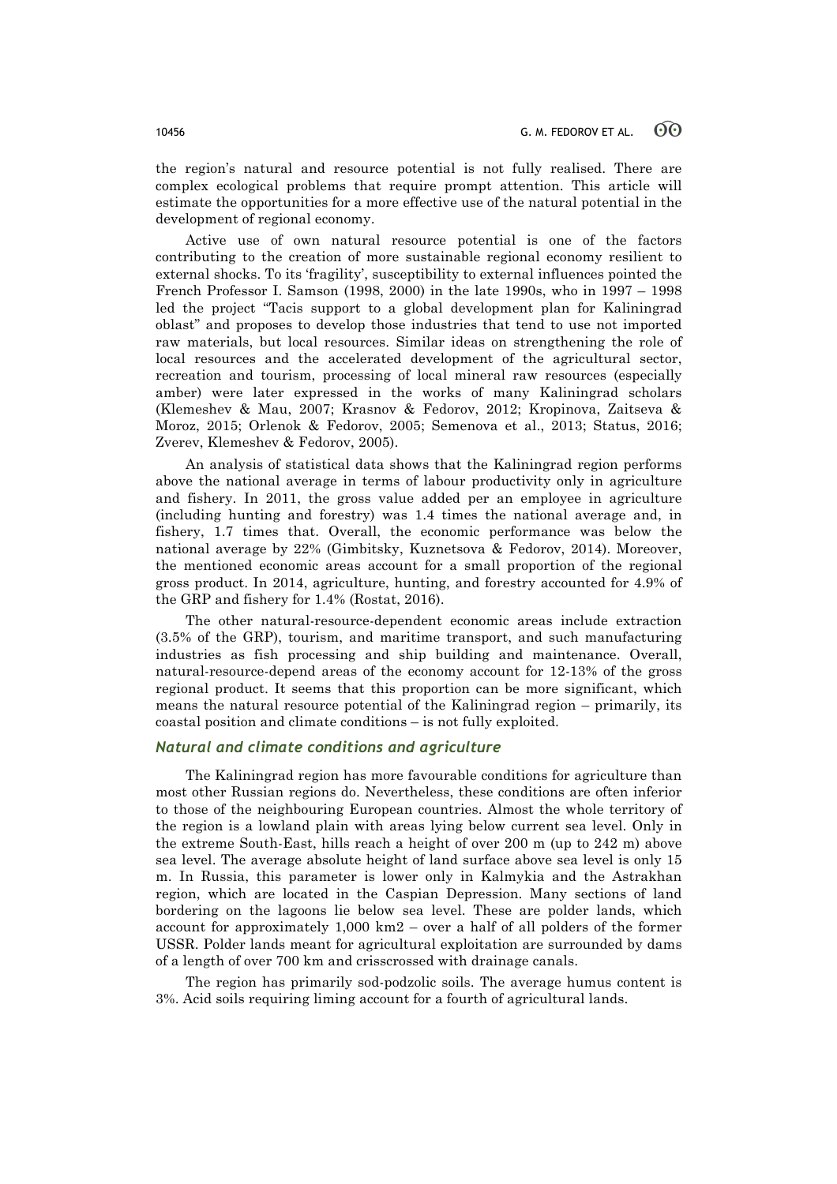the region's natural and resource potential is not fully realised. There are complex ecological problems that require prompt attention. This article will estimate the opportunities for a more effective use of the natural potential in the development of regional economy.

Active use of own natural resource potential is one of the factors contributing to the creation of more sustainable regional economy resilient to external shocks. To its 'fragility', susceptibility to external influences pointed the French Professor I. Samson (1998, 2000) in the late 1990s, who in 1997 – 1998 led the project "Tacis support to a global development plan for Kaliningrad oblast" and proposes to develop those industries that tend to use not imported raw materials, but local resources. Similar ideas on strengthening the role of local resources and the accelerated development of the agricultural sector, recreation and tourism, processing of local mineral raw resources (especially amber) were later expressed in the works of many Kaliningrad scholars (Klemeshev & Mau, 2007; Krasnov & Fedorov, 2012; Kropinova, Zaitseva & Moroz, 2015; Orlenok & Fedorov, 2005; Semenova et al., 2013; Status, 2016; Zverev, Klemeshev & Fedorov, 2005).

An analysis of statistical data shows that the Kaliningrad region performs above the national average in terms of labour productivity only in agriculture and fishery. In 2011, the gross value added per an employee in agriculture (including hunting and forestry) was 1.4 times the national average and, in fishery, 1.7 times that. Overall, the economic performance was below the national average by 22% (Gimbitsky, Kuznetsova & Fedorov, 2014). Moreover, the mentioned economic areas account for a small proportion of the regional gross product. In 2014, agriculture, hunting, and forestry accounted for 4.9% of the GRP and fishery for 1.4% (Rostat, 2016).

The other natural-resource-dependent economic areas include extraction (3.5% of the GRP), tourism, and maritime transport, and such manufacturing industries as fish processing and ship building and maintenance. Overall, natural-resource-depend areas of the economy account for 12-13% of the gross regional product. It seems that this proportion can be more significant, which means the natural resource potential of the Kaliningrad region – primarily, its coastal position and climate conditions – is not fully exploited.

# *Natural and climate conditions and agriculture*

The Kaliningrad region has more favourable conditions for agriculture than most other Russian regions do. Nevertheless, these conditions are often inferior to those of the neighbouring European countries. Almost the whole territory of the region is a lowland plain with areas lying below current sea level. Only in the extreme South-East, hills reach a height of over 200 m (up to 242 m) above sea level. The average absolute height of land surface above sea level is only 15 m. In Russia, this parameter is lower only in Kalmykia and the Astrakhan region, which are located in the Caspian Depression. Many sections of land bordering on the lagoons lie below sea level. These are polder lands, which account for approximately 1,000 km2 – over a half of all polders of the former USSR. Polder lands meant for agricultural exploitation are surrounded by dams of a length of over 700 km and crisscrossed with drainage canals.

The region has primarily sod-podzolic soils. The average humus content is 3%. Acid soils requiring liming account for a fourth of agricultural lands.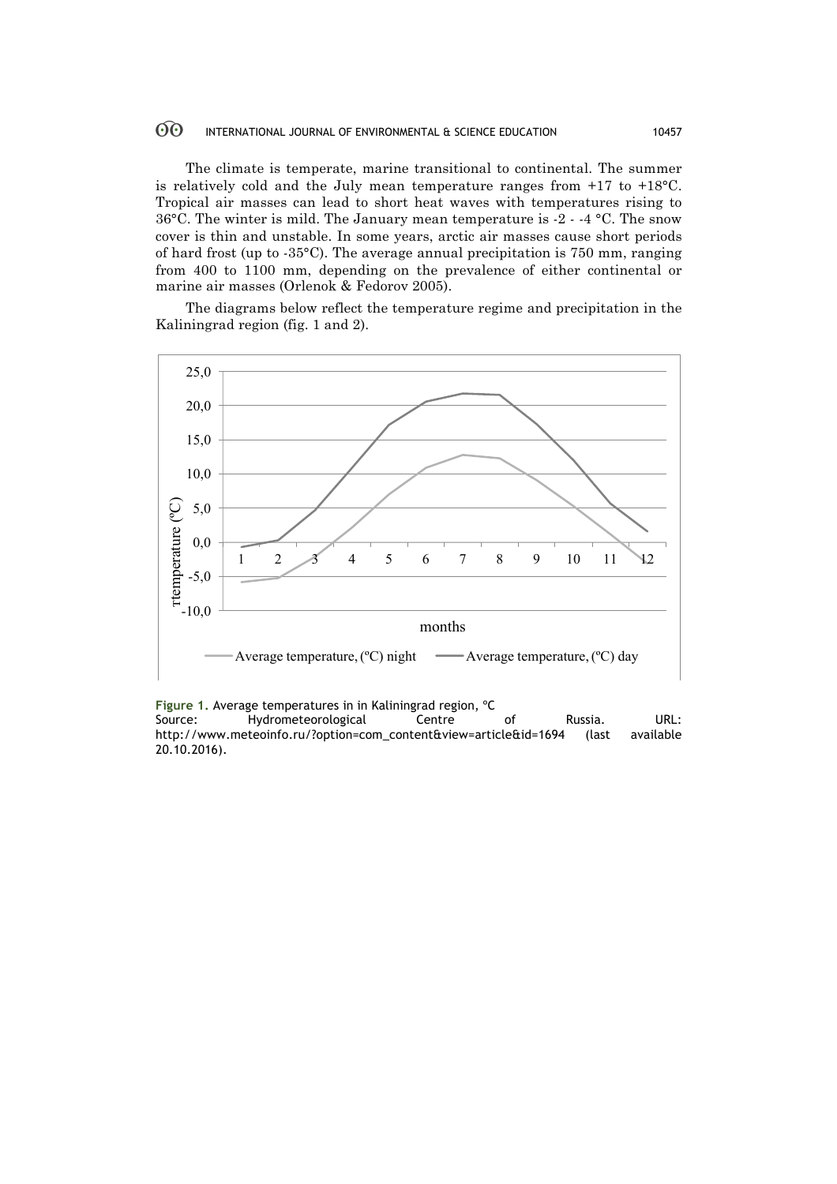#### $60^{\circ}$ INTERNATIONAL JOURNAL OF ENVIRONMENTAL & SCIENCE EDUCATION 10457

The climate is temperate, marine transitional to continental. The summer is relatively cold and the July mean temperature ranges from +17 to +18°C. Tropical air masses can lead to short heat waves with temperatures rising to 36°C. The winter is mild. The January mean temperature is -2 - -4 °C. The snow cover is thin and unstable. In some years, arctic air masses cause short periods of hard frost (up to -35°C). The average annual precipitation is 750 mm, ranging from 400 to 1100 mm, depending on the prevalence of either continental or marine air masses (Orlenok & Fedorov 2005).

The diagrams below reflect the temperature regime and precipitation in the Kaliningrad region (fig. 1 and 2).



**Figure 1.** Average temperatures in in Kaliningrad region, <sup>o</sup>C<br>Source: Hydrometeorological Centre Source: Hydrometeorological Centre of Russia. URL:<br>http://www.meteoinfo.ru/?option=com\_content&view=article&id=1694 (last available http://www.meteoinfo.ru/?option=com\_content&view=article&id=1694 (last 20.10.2016).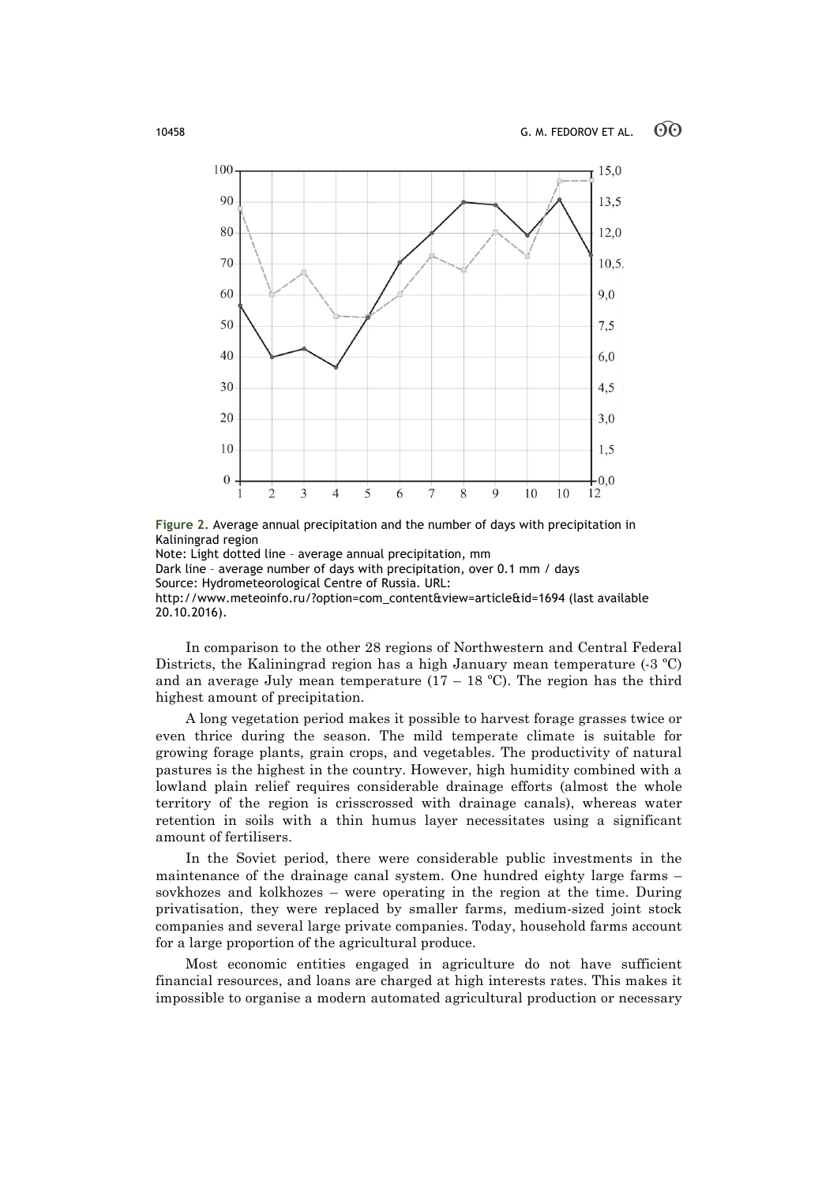

**Figure 2.** Average annual precipitation and the number of days with precipitation in Kaliningrad region

Note: Light dotted line – average annual precipitation, mm Dark line – average number of days with precipitation, over 0.1 mm / days Source: Hydrometeorological Centre of Russia. URL: http://www.meteoinfo.ru/?option=com\_content&view=article&id=1694 (last available 20.10.2016).

In comparison to the other 28 regions of Northwestern and Central Federal Districts, the Kaliningrad region has a high January mean temperature (-3 ºC) and an average July mean temperature  $(17 - 18 \degree C)$ . The region has the third highest amount of precipitation.

A long vegetation period makes it possible to harvest forage grasses twice or even thrice during the season. The mild temperate climate is suitable for growing forage plants, grain crops, and vegetables. The productivity of natural pastures is the highest in the country. However, high humidity combined with a lowland plain relief requires considerable drainage efforts (almost the whole territory of the region is crisscrossed with drainage canals), whereas water retention in soils with a thin humus layer necessitates using a significant amount of fertilisers.

In the Soviet period, there were considerable public investments in the maintenance of the drainage canal system. One hundred eighty large farms – sovkhozes and kolkhozes – were operating in the region at the time. During privatisation, they were replaced by smaller farms, medium-sized joint stock companies and several large private companies. Today, household farms account for a large proportion of the agricultural produce.

Most economic entities engaged in agriculture do not have sufficient financial resources, and loans are charged at high interests rates. This makes it impossible to organise a modern automated agricultural production or necessary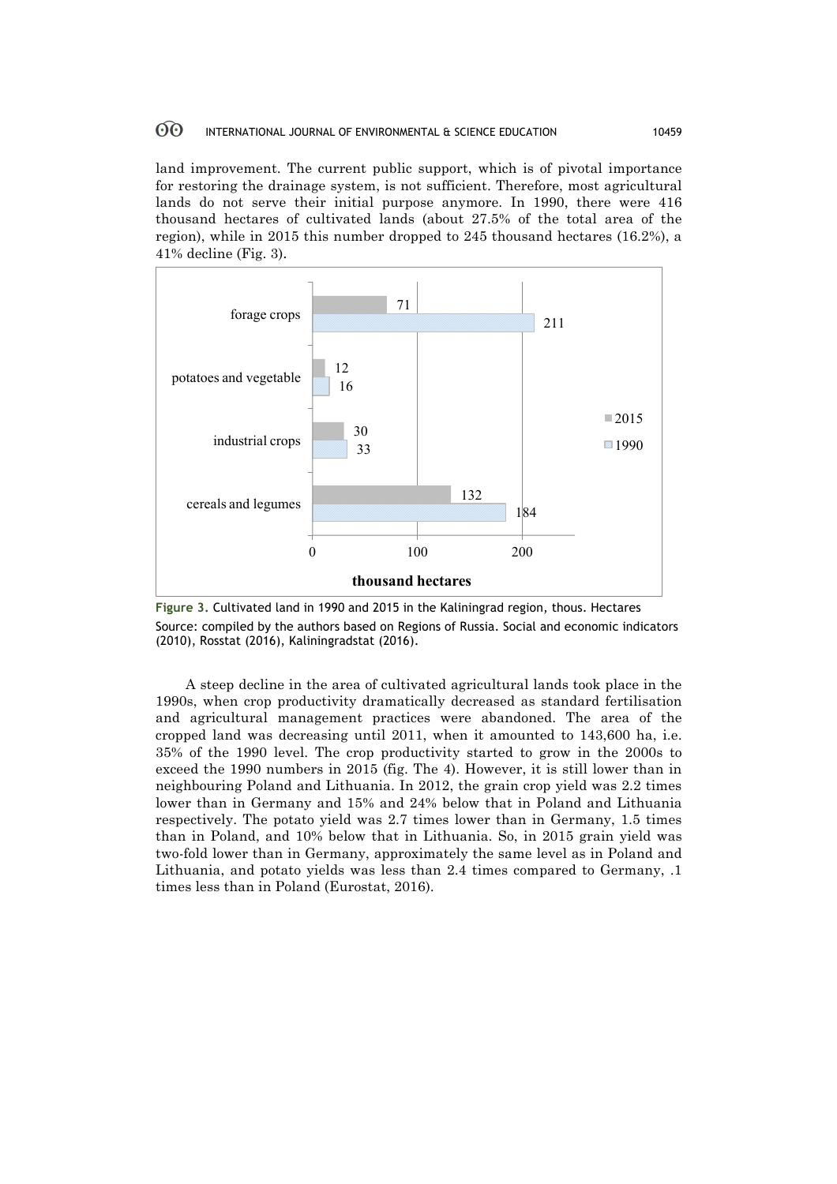#### 60 INTERNATIONAL JOURNAL OF ENVIRONMENTAL & SCIENCE EDUCATION 10459

land improvement. The current public support, which is of pivotal importance for restoring the drainage system, is not sufficient. Therefore, most agricultural lands do not serve their initial purpose anymore. In 1990, there were 416 thousand hectares of cultivated lands (about 27.5% of the total area of the region), while in 2015 this number dropped to 245 thousand hectares (16.2%), a 41% decline (Fig. 3).



**Figure 3.** Cultivated land in 1990 and 2015 in the Kaliningrad region, thous. Hectares Source: compiled by the authors based on Regions of Russia. Social and economic indicators (2010), Rosstat (2016), Kaliningradstat (2016).

A steep decline in the area of cultivated agricultural lands took place in the 1990s, when crop productivity dramatically decreased as standard fertilisation and agricultural management practices were abandoned. The area of the cropped land was decreasing until 2011, when it amounted to 143,600 ha, i.e. 35% of the 1990 level. The crop productivity started to grow in the 2000s to exceed the 1990 numbers in 2015 (fig. The 4). However, it is still lower than in neighbouring Poland and Lithuania. In 2012, the grain crop yield was 2.2 times lower than in Germany and 15% and 24% below that in Poland and Lithuania respectively. The potato yield was 2.7 times lower than in Germany, 1.5 times than in Poland, and 10% below that in Lithuania. So, in 2015 grain yield was two-fold lower than in Germany, approximately the same level as in Poland and Lithuania, and potato yields was less than 2.4 times compared to Germany, .1 times less than in Poland (Eurostat, 2016).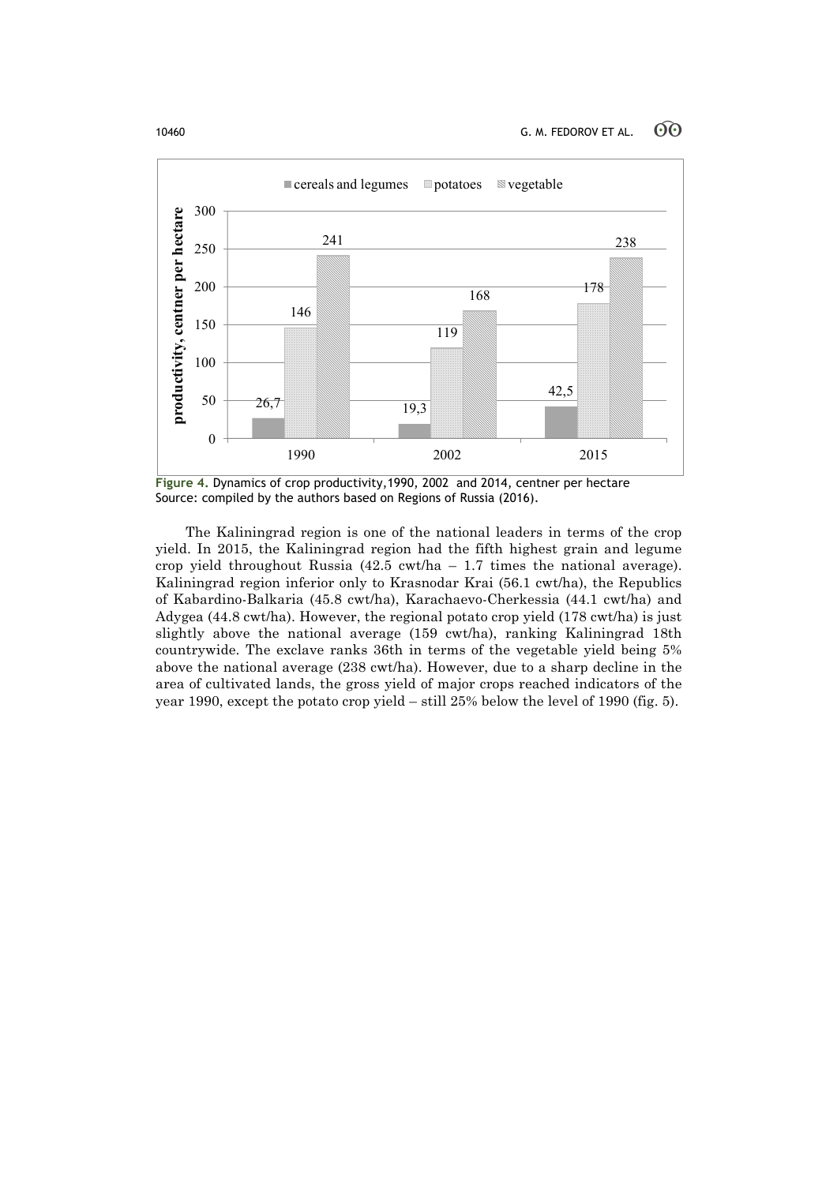

**Figure 4.** Dynamics of crop productivity,1990, 2002 and 2014, centner per hectare Source: compiled by the authors based on Regions of Russia (2016).

The Kaliningrad region is one of the national leaders in terms of the crop yield. In 2015, the Kaliningrad region had the fifth highest grain and legume crop yield throughout Russia  $(42.5 \text{ cwt/ha} - 1.7 \text{ times the national average}).$ Kaliningrad region inferior only to Krasnodar Krai (56.1 cwt/ha), the Republics of Kabardino-Balkaria (45.8 cwt/ha), Karachaevo-Cherkessia (44.1 cwt/ha) and Adygea (44.8 cwt/ha). However, the regional potato crop yield (178 cwt/ha) is just slightly above the national average (159 cwt/ha), ranking Kaliningrad 18th countrywide. The exclave ranks 36th in terms of the vegetable yield being 5% above the national average (238 cwt/ha). However, due to a sharp decline in the area of cultivated lands, the gross yield of major crops reached indicators of the year 1990, except the potato crop yield – still 25% below the level of 1990 (fig. 5).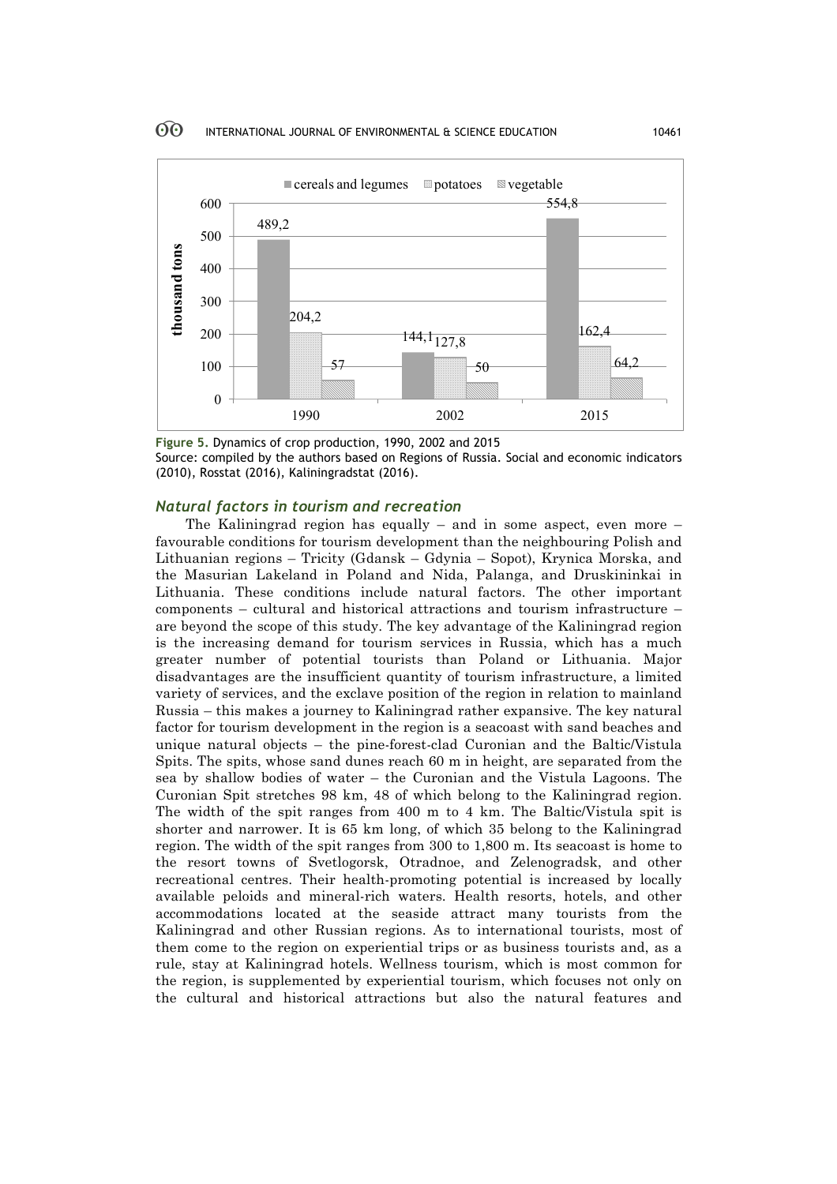

**Figure 5.** Dynamics of crop production, 1990, 2002 and 2015 Source: compiled by the authors based on Regions of Russia. Social and economic indicators (2010), Rosstat (2016), Kaliningradstat (2016).

# *Natural factors in tourism and recreation*

The Kaliningrad region has equally – and in some aspect, even more  $$ favourable conditions for tourism development than the neighbouring Polish and Lithuanian regions – Tricity (Gdansk – Gdynia – Sopot), Krynica Morska, and the Masurian Lakeland in Poland and Nida, Palanga, and Druskininkai in Lithuania. These conditions include natural factors. The other important components – cultural and historical attractions and tourism infrastructure – are beyond the scope of this study. The key advantage of the Kaliningrad region is the increasing demand for tourism services in Russia, which has a much greater number of potential tourists than Poland or Lithuania. Major disadvantages are the insufficient quantity of tourism infrastructure, a limited variety of services, and the exclave position of the region in relation to mainland Russia – this makes a journey to Kaliningrad rather expansive. The key natural factor for tourism development in the region is a seacoast with sand beaches and unique natural objects – the pine-forest-clad Curonian and the Baltic/Vistula Spits. The spits, whose sand dunes reach 60 m in height, are separated from the sea by shallow bodies of water – the Curonian and the Vistula Lagoons. The Curonian Spit stretches 98 km, 48 of which belong to the Kaliningrad region. The width of the spit ranges from 400 m to 4 km. The Baltic/Vistula spit is shorter and narrower. It is 65 km long, of which 35 belong to the Kaliningrad region. The width of the spit ranges from 300 to 1,800 m. Its seacoast is home to the resort towns of Svetlogorsk, Otradnoe, and Zelenogradsk, and other recreational centres. Their health-promoting potential is increased by locally available peloids and mineral-rich waters. Health resorts, hotels, and other accommodations located at the seaside attract many tourists from the Kaliningrad and other Russian regions. As to international tourists, most of them come to the region on experiential trips or as business tourists and, as a rule, stay at Kaliningrad hotels. Wellness tourism, which is most common for the region, is supplemented by experiential tourism, which focuses not only on the cultural and historical attractions but also the natural features and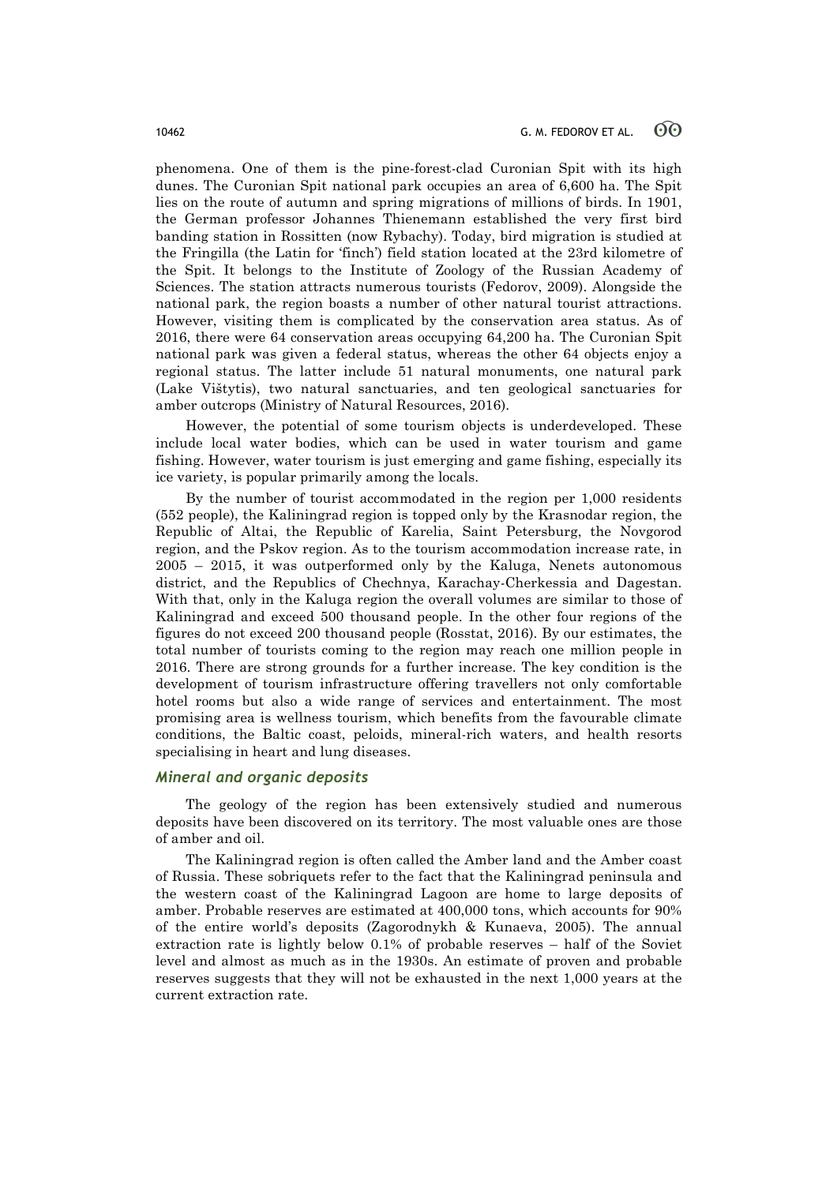phenomena. One of them is the pine-forest-clad Curonian Spit with its high dunes. The Curonian Spit national park occupies an area of 6,600 ha. The Spit lies on the route of autumn and spring migrations of millions of birds. In 1901, the German professor Johannes Thienemann established the very first bird banding station in Rossitten (now Rybachy). Today, bird migration is studied at the Fringilla (the Latin for 'finch') field station located at the 23rd kilometre of the Spit. It belongs to the Institute of Zoology of the Russian Academy of Sciences. The station attracts numerous tourists (Fedorov, 2009). Alongside the national park, the region boasts a number of other natural tourist attractions. However, visiting them is complicated by the conservation area status. As of 2016, there were 64 conservation areas occupying 64,200 ha. The Curonian Spit national park was given a federal status, whereas the other 64 objects enjoy a regional status. The latter include 51 natural monuments, one natural park (Lake Vištytis), two natural sanctuaries, and ten geological sanctuaries for amber outcrops (Ministry of Natural Resources, 2016).

However, the potential of some tourism objects is underdeveloped. These include local water bodies, which can be used in water tourism and game fishing. However, water tourism is just emerging and game fishing, especially its ice variety, is popular primarily among the locals.

By the number of tourist accommodated in the region per 1,000 residents (552 people), the Kaliningrad region is topped only by the Krasnodar region, the Republic of Altai, the Republic of Karelia, Saint Petersburg, the Novgorod region, and the Pskov region. As to the tourism accommodation increase rate, in 2005 – 2015, it was outperformed only by the Kaluga, Nenets autonomous district, and the Republics of Chechnya, Karachay-Cherkessia and Dagestan. With that, only in the Kaluga region the overall volumes are similar to those of Kaliningrad and exceed 500 thousand people. In the other four regions of the figures do not exceed 200 thousand people (Rosstat, 2016). By our estimates, the total number of tourists coming to the region may reach one million people in 2016. There are strong grounds for a further increase. The key condition is the development of tourism infrastructure offering travellers not only comfortable hotel rooms but also a wide range of services and entertainment. The most promising area is wellness tourism, which benefits from the favourable climate conditions, the Baltic coast, peloids, mineral-rich waters, and health resorts specialising in heart and lung diseases.

# *Mineral and organic deposits*

The geology of the region has been extensively studied and numerous deposits have been discovered on its territory. The most valuable ones are those of amber and oil.

The Kaliningrad region is often called the Amber land and the Amber coast of Russia. These sobriquets refer to the fact that the Kaliningrad peninsula and the western coast of the Kaliningrad Lagoon are home to large deposits of amber. Probable reserves are estimated at 400,000 tons, which accounts for 90% of the entire world's deposits (Zagorodnykh & Kunaeva, 2005). The annual extraction rate is lightly below 0.1% of probable reserves – half of the Soviet level and almost as much as in the 1930s. An estimate of proven and probable reserves suggests that they will not be exhausted in the next 1,000 years at the current extraction rate.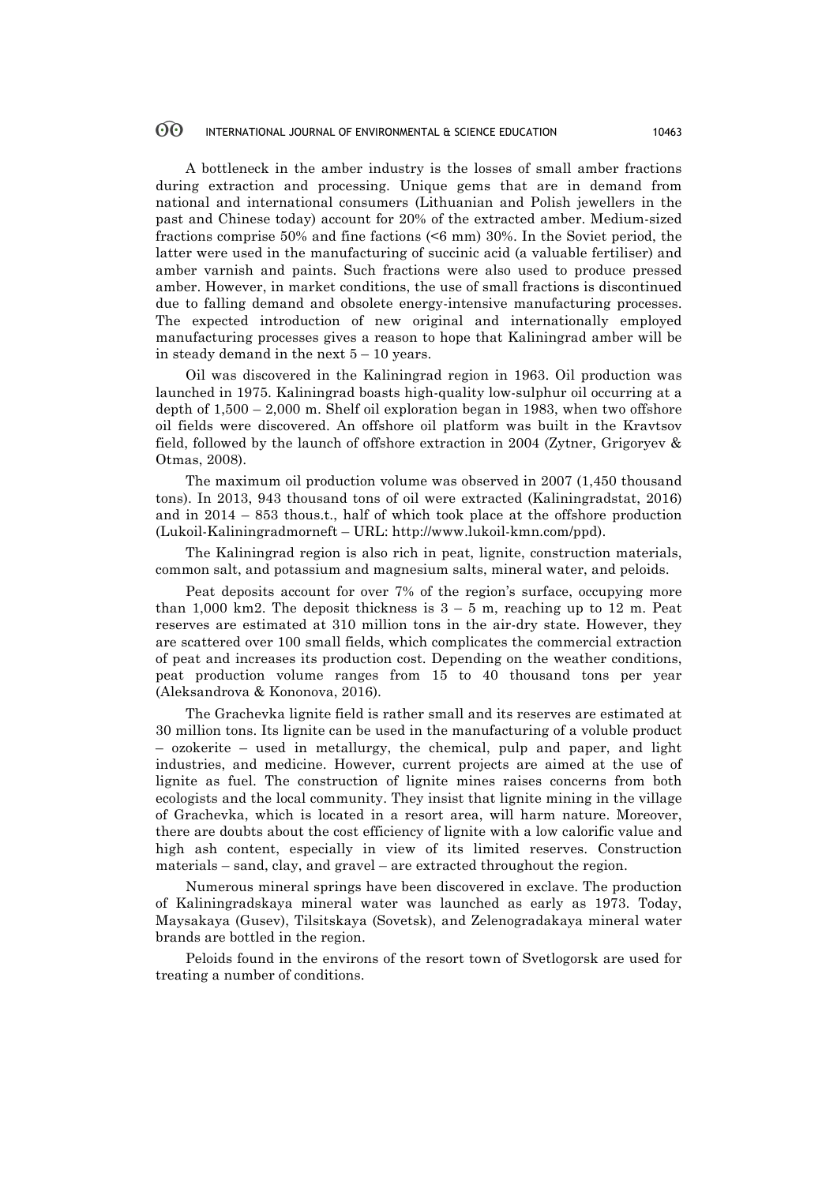#### 60 INTERNATIONAL JOURNAL OF ENVIRONMENTAL & SCIENCE EDUCATION 10463

A bottleneck in the amber industry is the losses of small amber fractions during extraction and processing. Unique gems that are in demand from national and international consumers (Lithuanian and Polish jewellers in the past and Chinese today) account for 20% of the extracted amber. Medium-sized fractions comprise 50% and fine factions (<6 mm) 30%. In the Soviet period, the latter were used in the manufacturing of succinic acid (a valuable fertiliser) and amber varnish and paints. Such fractions were also used to produce pressed amber. However, in market conditions, the use of small fractions is discontinued due to falling demand and obsolete energy-intensive manufacturing processes. The expected introduction of new original and internationally employed manufacturing processes gives a reason to hope that Kaliningrad amber will be in steady demand in the next  $5 - 10$  years.

Oil was discovered in the Kaliningrad region in 1963. Oil production was launched in 1975. Kaliningrad boasts high-quality low-sulphur oil occurring at a depth of  $1,500 - 2,000$  m. Shelf oil exploration began in 1983, when two offshore oil fields were discovered. An offshore oil platform was built in the Kravtsov field, followed by the launch of offshore extraction in 2004 (Zytner, Grigoryev & Оtmas, 2008).

The maximum oil production volume was observed in 2007 (1,450 thousand tons). In 2013, 943 thousand tons of oil were extracted (Kaliningradstat, 2016) and in 2014 – 853 thous.t., half of which took place at the offshore production (Lukoil-Kaliningradmorneft – URL: http://www.lukoil-kmn.com/ppd).

The Kaliningrad region is also rich in peat, lignite, construction materials, common salt, and potassium and magnesium salts, mineral water, and peloids.

Peat deposits account for over 7% of the region's surface, occupying more than 1,000 km2. The deposit thickness is  $3 - 5$  m, reaching up to 12 m. Peat reserves are estimated at 310 million tons in the air-dry state. However, they are scattered over 100 small fields, which complicates the commercial extraction of peat and increases its production cost. Depending on the weather conditions, peat production volume ranges from 15 to 40 thousand tons per year (Aleksandrova & Kononova, 2016).

The Grachevka lignite field is rather small and its reserves are estimated at 30 million tons. Its lignite can be used in the manufacturing of a voluble product – ozokerite – used in metallurgy, the chemical, pulp and paper, and light industries, and medicine. However, current projects are aimed at the use of lignite as fuel. The construction of lignite mines raises concerns from both ecologists and the local community. They insist that lignite mining in the village of Grachevka, which is located in a resort area, will harm nature. Moreover, there are doubts about the cost efficiency of lignite with a low calorific value and high ash content, especially in view of its limited reserves. Construction materials – sand, clay, and gravel – are extracted throughout the region.

Numerous mineral springs have been discovered in exclave. The production of Kaliningradskaya mineral water was launched as early as 1973. Today, Maysakaya (Gusev), Tilsitskaya (Sovetsk), and Zelenogradakaya mineral water brands are bottled in the region.

Peloids found in the environs of the resort town of Svetlogorsk are used for treating a number of conditions.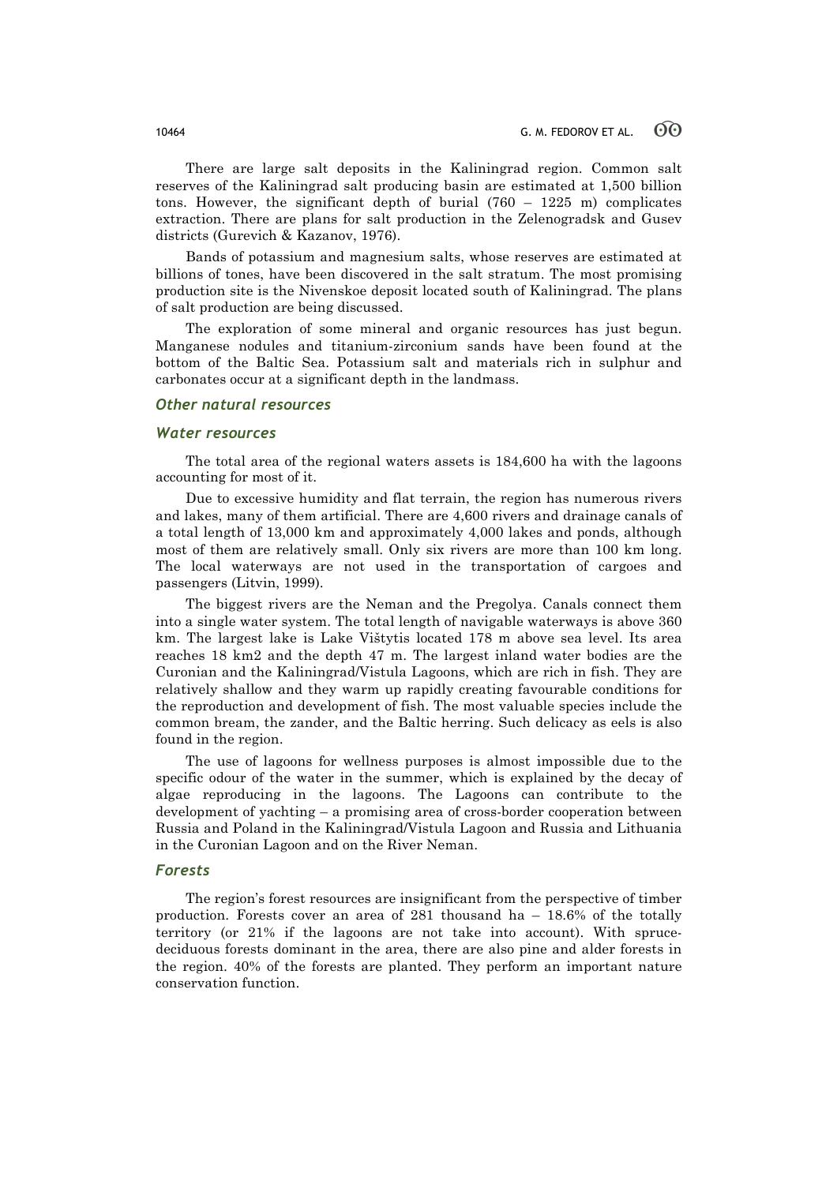There are large salt deposits in the Kaliningrad region. Common salt reserves of the Kaliningrad salt producing basin are estimated at 1,500 billion tons. However, the significant depth of burial (760 – 1225 m) complicates extraction. There are plans for salt production in the Zelenogradsk and Gusev districts (Gurevich & Kazanov, 1976).

Bands of potassium and magnesium salts, whose reserves are estimated at billions of tones, have been discovered in the salt stratum. The most promising production site is the Nivenskoe deposit located south of Kaliningrad. The plans of salt production are being discussed.

The exploration of some mineral and organic resources has just begun. Manganese nodules and titanium-zirconium sands have been found at the bottom of the Baltic Sea. Potassium salt and materials rich in sulphur and carbonates occur at a significant depth in the landmass.

### *Other natural resources*

### *Water resources*

The total area of the regional waters assets is 184,600 ha with the lagoons accounting for most of it.

Due to excessive humidity and flat terrain, the region has numerous rivers and lakes, many of them artificial. There are 4,600 rivers and drainage canals of a total length of 13,000 km and approximately 4,000 lakes and ponds, although most of them are relatively small. Only six rivers are more than 100 km long. The local waterways are not used in the transportation of cargoes and passengers (Litvin, 1999).

The biggest rivers are the Neman and the Pregolya. Canals connect them into a single water system. The total length of navigable waterways is above 360 km. The largest lake is Lake Vištytis located 178 m above sea level. Its area reaches 18 km2 and the depth 47 m. The largest inland water bodies are the Curonian and the Kaliningrad/Vistula Lagoons, which are rich in fish. They are relatively shallow and they warm up rapidly creating favourable conditions for the reproduction and development of fish. The most valuable species include the common bream, the zander, and the Baltic herring. Such delicacy as eels is also found in the region.

The use of lagoons for wellness purposes is almost impossible due to the specific odour of the water in the summer, which is explained by the decay of algae reproducing in the lagoons. The Lagoons can contribute to the development of yachting – a promising area of cross-border cooperation between Russia and Poland in the Kaliningrad/Vistula Lagoon and Russia and Lithuania in the Curonian Lagoon and on the River Neman.

### *Forests*

The region's forest resources are insignificant from the perspective of timber production. Forests cover an area of 281 thousand ha – 18.6% of the totally territory (or 21% if the lagoons are not take into account). With sprucedeciduous forests dominant in the area, there are also pine and alder forests in the region. 40% of the forests are planted. They perform an important nature conservation function.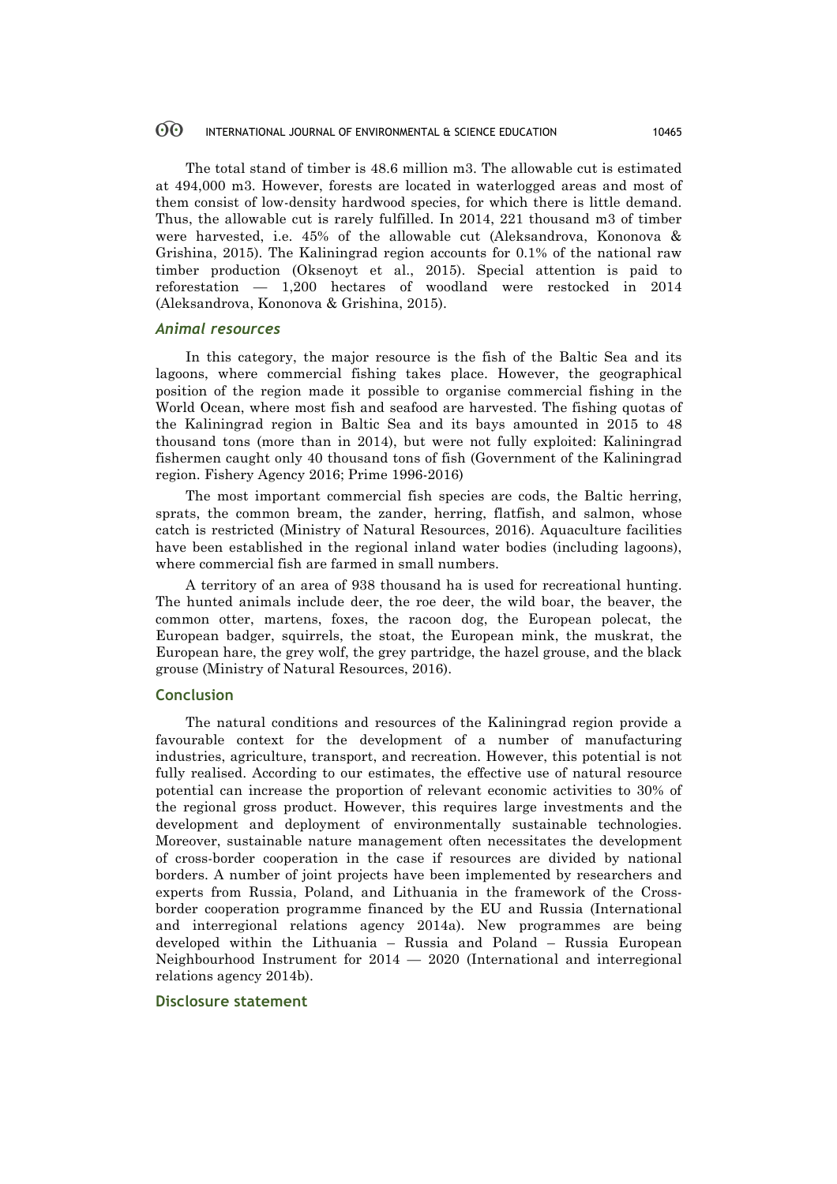#### 60 INTERNATIONAL JOURNAL OF ENVIRONMENTAL & SCIENCE EDUCATION 10465

The total stand of timber is 48.6 million m3. The allowable cut is estimated at 494,000 m3. However, forests are located in waterlogged areas and most of them consist of low-density hardwood species, for which there is little demand. Thus, the allowable cut is rarely fulfilled. In 2014, 221 thousand m3 of timber were harvested, i.e. 45% of the allowable cut (Aleksandrova, Kononova & Grishina, 2015). The Kaliningrad region accounts for 0.1% of the national raw timber production (Oksenoyt et al., 2015). Special attention is paid to reforestation — 1,200 hectares of woodland were restocked in 2014 (Aleksandrova, Kononova & Grishina, 2015).

# *Animal resources*

In this category, the major resource is the fish of the Baltic Sea and its lagoons, where commercial fishing takes place. However, the geographical position of the region made it possible to organise commercial fishing in the World Ocean, where most fish and seafood are harvested. The fishing quotas of the Kaliningrad region in Baltic Sea and its bays amounted in 2015 to 48 thousand tons (more than in 2014), but were not fully exploited: Kaliningrad fishermen caught only 40 thousand tons of fish (Government of the Kaliningrad region. Fishery Agency 2016; Prime 1996-2016)

The most important commercial fish species are cods, the Baltic herring, sprats, the common bream, the zander, herring, flatfish, and salmon, whose catch is restricted (Ministry of Natural Resources, 2016). Aquaculture facilities have been established in the regional inland water bodies (including lagoons), where commercial fish are farmed in small numbers.

A territory of an area of 938 thousand ha is used for recreational hunting. The hunted animals include deer, the roe deer, the wild boar, the beaver, the common otter, martens, foxes, the racoon dog, the European polecat, the European badger, squirrels, the stoat, the European mink, the muskrat, the European hare, the grey wolf, the grey partridge, the hazel grouse, and the black grouse (Ministry of Natural Resources, 2016).

# **Conclusion**

The natural conditions and resources of the Kaliningrad region provide a favourable context for the development of a number of manufacturing industries, agriculture, transport, and recreation. However, this potential is not fully realised. According to our estimates, the effective use of natural resource potential can increase the proportion of relevant economic activities to 30% of the regional gross product. However, this requires large investments and the development and deployment of environmentally sustainable technologies. Moreover, sustainable nature management often necessitates the development of cross-border cooperation in the case if resources are divided by national borders. A number of joint projects have been implemented by researchers and experts from Russia, Poland, and Lithuania in the framework of the Crossborder cooperation programme financed by the EU and Russia (International and interregional relations agency 2014a). New programmes are being developed within the Lithuania – Russia and Poland – Russia European Neighbourhood Instrument for 2014 — 2020 (International and interregional relations agency 2014b).

### **Disclosure statement**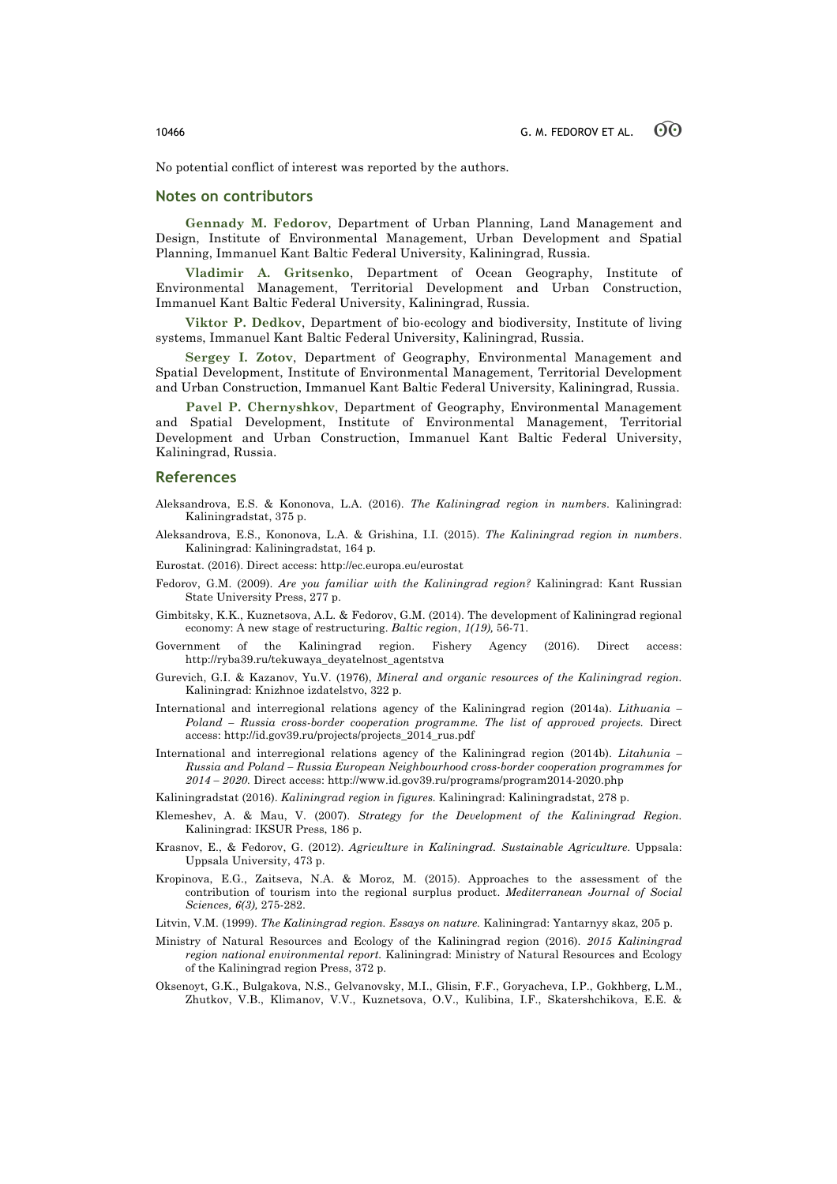No potential conflict of interest was reported by the authors.

# **Notes on contributors**

**Gennady M. Fedorov**, Department of Urban Planning, Land Management and Design, Institute of Environmental Management, Urban Development and Spatial Planning, Immanuel Kant Baltic Federal University, Kaliningrad, Russia.

**Vladimir A. Gritsenko**, Department of Ocean Geography, Institute of Environmental Management, Territorial Development and Urban Construction, Immanuel Kant Baltic Federal University, Kaliningrad, Russia.

**Viktor P. Dedkov**, Department of bio-ecology and biodiversity, Institute of living systems, Immanuel Kant Baltic Federal University, Kaliningrad, Russia.

**Sergey I. Zotov**, Department of Geography, Environmental Management and Spatial Development, Institute of Environmental Management, Territorial Development and Urban Construction, Immanuel Kant Baltic Federal University, Kaliningrad, Russia.

**Pavel P. Chernyshkov**, Department of Geography, Environmental Management and Spatial Development, Institute of Environmental Management, Territorial Development and Urban Construction, Immanuel Kant Baltic Federal University, Kaliningrad, Russia.

#### **References**

- Aleksandrova, E.S. & Kononova, L.A. (2016). *The Kaliningrad region in numbers*. Kaliningrad: Kaliningradstat, 375 p.
- Aleksandrova, E.S., Kononova, L.A. & Grishina, I.I. (2015). *The Kaliningrad region in numbers*. Kaliningrad: Kaliningradstat, 164 p.

Eurostat. (2016). Direct access: http://ec.europa.eu/eurostat

- Fedorov, G.M. (2009). *Are you familiar with the Kaliningrad region?* Kaliningrad: Kant Russian State University Press, 277 p.
- Gimbitsky, K.K., Kuznetsova, A.L. & Fedorov, G.M. (2014). The development of Kaliningrad regional economy: A new stage of restructuring. *Baltic region*, *1(19),* 56-71.
- Government of the Kaliningrad region. Fishery Agency (2016). Direct access: http://ryba39.ru/tekuwaya\_deyatelnost\_agentstva
- Gurevich, G.I. & Kazanov, Yu.V. (1976), *Mineral and organic resources of the Kaliningrad region.* Kaliningrad: Knizhnoe izdatelstvo, 322 p.
- International and interregional relations agency of the Kaliningrad region (2014a). *Lithuania – Poland – Russia cross-border cooperation programme. The list of approved projects.* Direct access: http://id.gov39.ru/projects/projects\_2014\_rus.pdf
- International and interregional relations agency of the Kaliningrad region (2014b). *Litahunia – Russia and Poland – Russia European Neighbourhood cross-border cooperation programmes for 2014 – 2020.* Direct access: http://www.id.gov39.ru/programs/program2014-2020.php
- Kaliningradstat (2016). *Kaliningrad region in figures.* Kaliningrad: Kaliningradstat, 278 p.
- Klemeshev, А. & Mau, V. (2007). *Strategy for the Development of the Kaliningrad Region.*  Kaliningrad: IKSUR Press, 186 p.
- Krasnov, E., & Fedorov, G. (2012). *Agriculture in Kaliningrad. Sustainable Agriculture*. Uppsala: Uppsala University, 473 p.
- Kropinova, E.G., Zaitseva, N.A. & Moroz, M. (2015). Approaches to the assessment of the contribution of tourism into the regional surplus product. *Mediterranean Journal of Social Sciences, 6(3),* 275-282.
- Litvin, V.M. (1999). *The Kaliningrad region. Essays on nature.* Kaliningrad: Yantarnyy skaz, 205 p.
- Ministry of Natural Resources and Ecology of the Kaliningrad region (2016). *2015 Kaliningrad region national environmental report.* Kaliningrad: Ministry of Natural Resources and Ecology of the Kaliningrad region Press, 372 p.
- Oksenoyt, G.K., Bulgakova, N.S., Gelvanovsky, M.I., Glisin, F.F., Goryacheva, I.P., Gokhberg, L.M., Zhutkov, V.B., Klimanov, V.V., Kuznetsova, O.V., Kulibina, I.F., Skatershchikova, E.E. &